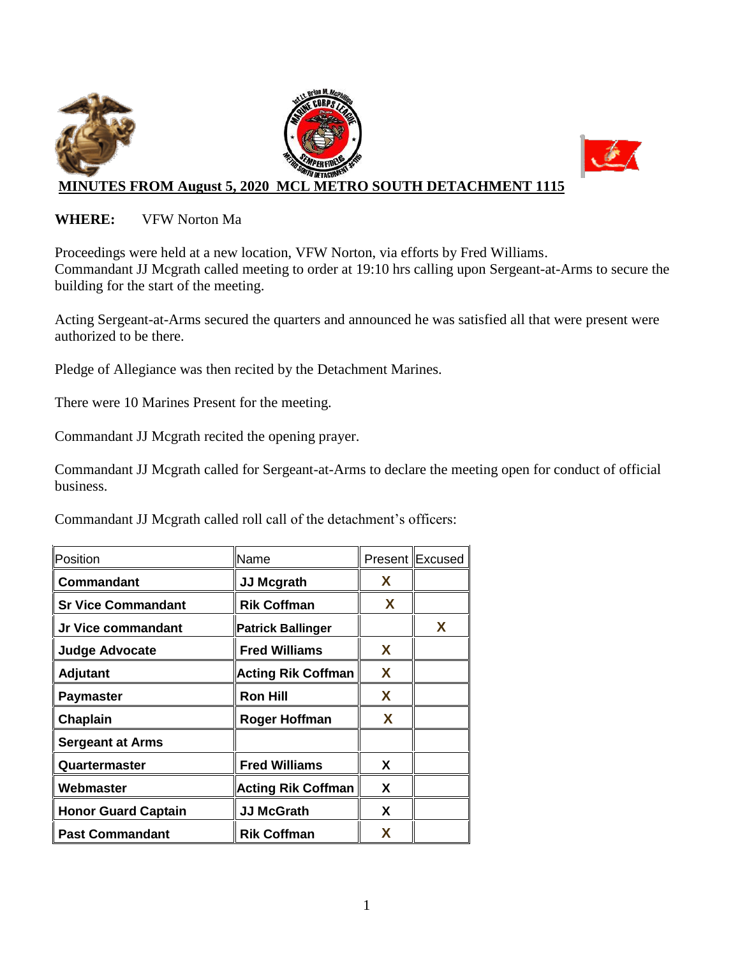

#### **WHERE:** VFW Norton Ma

Proceedings were held at a new location, VFW Norton, via efforts by Fred Williams. Commandant JJ Mcgrath called meeting to order at 19:10 hrs calling upon Sergeant-at-Arms to secure the building for the start of the meeting.

Acting Sergeant-at-Arms secured the quarters and announced he was satisfied all that were present were authorized to be there.

Pledge of Allegiance was then recited by the Detachment Marines.

There were 10 Marines Present for the meeting.

Commandant JJ Mcgrath recited the opening prayer.

Commandant JJ Mcgrath called for Sergeant-at-Arms to declare the meeting open for conduct of official business.

Commandant JJ Mcgrath called roll call of the detachment's officers:

| Position                   | Name                      |   | <b>Present Excused</b> |
|----------------------------|---------------------------|---|------------------------|
| Commandant                 | <b>JJ Mcgrath</b>         | X |                        |
| <b>Sr Vice Commandant</b>  | <b>Rik Coffman</b>        | X |                        |
| Jr Vice commandant         | <b>Patrick Ballinger</b>  |   | X                      |
| <b>Judge Advocate</b>      | <b>Fred Williams</b>      | X |                        |
| <b>Adjutant</b>            | <b>Acting Rik Coffman</b> | X |                        |
| <b>Paymaster</b>           | <b>Ron Hill</b>           | X |                        |
| Chaplain                   | <b>Roger Hoffman</b>      | X |                        |
| <b>Sergeant at Arms</b>    |                           |   |                        |
| Quartermaster              | <b>Fred Williams</b>      | X |                        |
| Webmaster                  | <b>Acting Rik Coffman</b> | X |                        |
| <b>Honor Guard Captain</b> | <b>JJ McGrath</b>         | X |                        |
| <b>Past Commandant</b>     | <b>Rik Coffman</b>        | X |                        |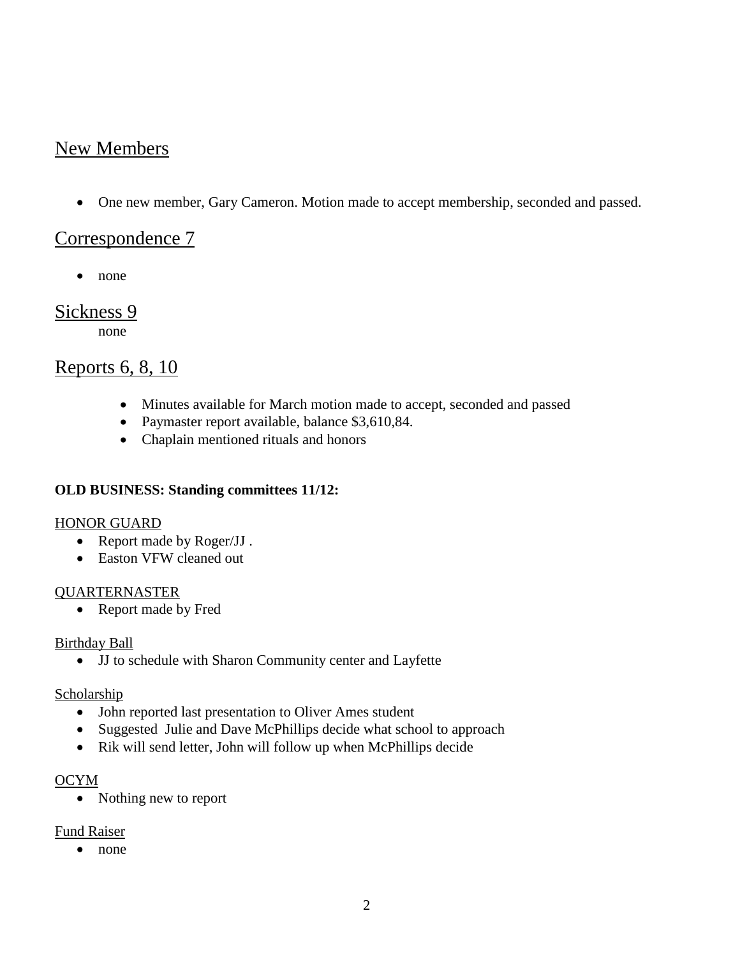# New Members

One new member, Gary Cameron. Motion made to accept membership, seconded and passed.

## Correspondence 7

• none

### Sickness 9

none

## Reports 6, 8, 10

- Minutes available for March motion made to accept, seconded and passed
- Paymaster report available, balance \$3,610,84.
- Chaplain mentioned rituals and honors

#### **OLD BUSINESS: Standing committees 11/12:**

#### HONOR GUARD

- Report made by Roger/JJ.
- Easton VFW cleaned out

#### QUARTERNASTER

• Report made by Fred

#### Birthday Ball

JJ to schedule with Sharon Community center and Layfette

#### Scholarship

- John reported last presentation to Oliver Ames student
- Suggested Julie and Dave McPhillips decide what school to approach
- Rik will send letter, John will follow up when McPhillips decide

#### OCYM

• Nothing new to report

#### Fund Raiser

• none